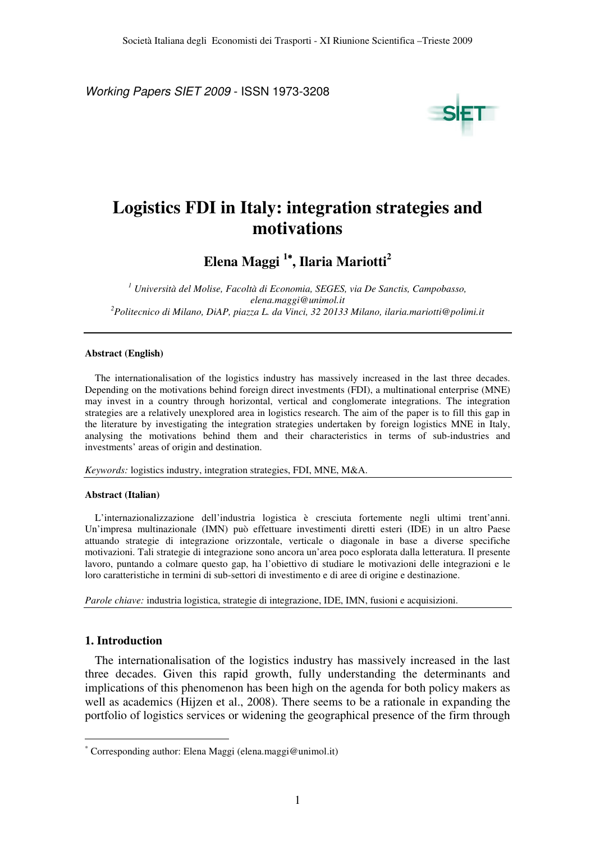Working Papers SIET 2009 - ISSN 1973-3208



# **Logistics FDI in Italy: integration strategies and motivations**

**Elena Maggi <sup>1</sup>**<sup>∗</sup>**, Ilaria Mariotti<sup>2</sup>**

*1 Università del Molise, Facoltà di Economia, SEGES, via De Sanctis, Campobasso, elena.maggi@unimol.it <sup>2</sup>Politecnico di Milano, DiAP, piazza L. da Vinci, 32 20133 Milano, ilaria.mariotti@polimi.it* 

#### **Abstract (English)**

The internationalisation of the logistics industry has massively increased in the last three decades. Depending on the motivations behind foreign direct investments (FDI), a multinational enterprise (MNE) may invest in a country through horizontal, vertical and conglomerate integrations. The integration strategies are a relatively unexplored area in logistics research. The aim of the paper is to fill this gap in the literature by investigating the integration strategies undertaken by foreign logistics MNE in Italy, analysing the motivations behind them and their characteristics in terms of sub-industries and investments' areas of origin and destination.

*Keywords:* logistics industry, integration strategies, FDI, MNE, M&A.

#### **Abstract (Italian)**

L'internazionalizzazione dell'industria logistica è cresciuta fortemente negli ultimi trent'anni. Un'impresa multinazionale (IMN) può effettuare investimenti diretti esteri (IDE) in un altro Paese attuando strategie di integrazione orizzontale, verticale o diagonale in base a diverse specifiche motivazioni. Tali strategie di integrazione sono ancora un'area poco esplorata dalla letteratura. Il presente lavoro, puntando a colmare questo gap, ha l'obiettivo di studiare le motivazioni delle integrazioni e le loro caratteristiche in termini di sub-settori di investimento e di aree di origine e destinazione.

*Parole chiave:* industria logistica, strategie di integrazione, IDE, IMN, fusioni e acquisizioni.

## **1. Introduction**

 $\overline{a}$ 

The internationalisation of the logistics industry has massively increased in the last three decades. Given this rapid growth, fully understanding the determinants and implications of this phenomenon has been high on the agenda for both policy makers as well as academics (Hijzen et al., 2008). There seems to be a rationale in expanding the portfolio of logistics services or widening the geographical presence of the firm through

<sup>∗</sup> Corresponding author: Elena Maggi (elena.maggi@unimol.it)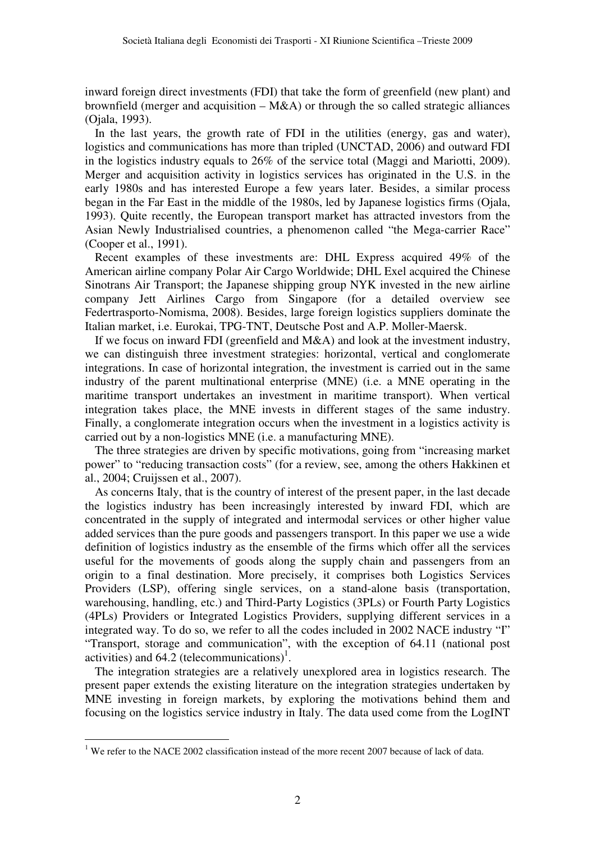inward foreign direct investments (FDI) that take the form of greenfield (new plant) and brownfield (merger and acquisition  $-M&A$ ) or through the so called strategic alliances (Ojala, 1993).

In the last years, the growth rate of FDI in the utilities (energy, gas and water), logistics and communications has more than tripled (UNCTAD, 2006) and outward FDI in the logistics industry equals to 26% of the service total (Maggi and Mariotti, 2009). Merger and acquisition activity in logistics services has originated in the U.S. in the early 1980s and has interested Europe a few years later. Besides, a similar process began in the Far East in the middle of the 1980s, led by Japanese logistics firms (Ojala, 1993). Quite recently, the European transport market has attracted investors from the Asian Newly Industrialised countries, a phenomenon called "the Mega-carrier Race" (Cooper et al., 1991).

Recent examples of these investments are: DHL Express acquired 49% of the American airline company Polar Air Cargo Worldwide; DHL Exel acquired the Chinese Sinotrans Air Transport; the Japanese shipping group NYK invested in the new airline company Jett Airlines Cargo from Singapore (for a detailed overview see Federtrasporto-Nomisma, 2008). Besides, large foreign logistics suppliers dominate the Italian market, i.e. Eurokai, TPG-TNT, Deutsche Post and A.P. Moller-Maersk.

If we focus on inward FDI (greenfield and M&A) and look at the investment industry, we can distinguish three investment strategies: horizontal, vertical and conglomerate integrations. In case of horizontal integration, the investment is carried out in the same industry of the parent multinational enterprise (MNE) (i.e. a MNE operating in the maritime transport undertakes an investment in maritime transport). When vertical integration takes place, the MNE invests in different stages of the same industry. Finally, a conglomerate integration occurs when the investment in a logistics activity is carried out by a non-logistics MNE (i.e. a manufacturing MNE).

The three strategies are driven by specific motivations, going from "increasing market power" to "reducing transaction costs" (for a review, see, among the others Hakkinen et al., 2004; Cruijssen et al., 2007).

As concerns Italy, that is the country of interest of the present paper, in the last decade the logistics industry has been increasingly interested by inward FDI, which are concentrated in the supply of integrated and intermodal services or other higher value added services than the pure goods and passengers transport. In this paper we use a wide definition of logistics industry as the ensemble of the firms which offer all the services useful for the movements of goods along the supply chain and passengers from an origin to a final destination. More precisely, it comprises both Logistics Services Providers (LSP), offering single services, on a stand-alone basis (transportation, warehousing, handling, etc.) and Third-Party Logistics (3PLs) or Fourth Party Logistics (4PLs) Providers or Integrated Logistics Providers, supplying different services in a integrated way. To do so, we refer to all the codes included in 2002 NACE industry "I" "Transport, storage and communication", with the exception of 64.11 (national post activities) and  $64.2$  (telecommunications)<sup>1</sup>.

The integration strategies are a relatively unexplored area in logistics research. The present paper extends the existing literature on the integration strategies undertaken by MNE investing in foreign markets, by exploring the motivations behind them and focusing on the logistics service industry in Italy. The data used come from the LogINT

 $\overline{a}$ 

<sup>&</sup>lt;sup>1</sup> We refer to the NACE 2002 classification instead of the more recent 2007 because of lack of data.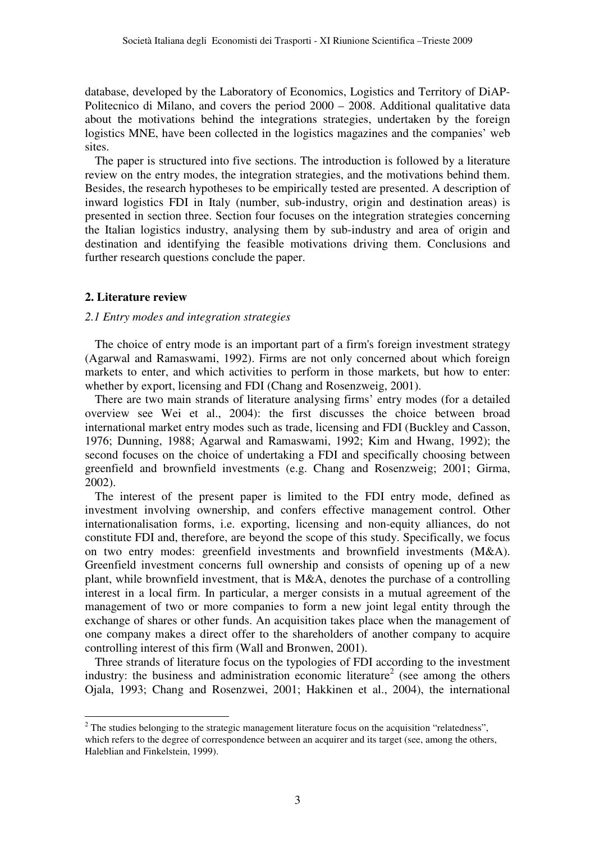database, developed by the Laboratory of Economics, Logistics and Territory of DiAP-Politecnico di Milano, and covers the period 2000 – 2008. Additional qualitative data about the motivations behind the integrations strategies, undertaken by the foreign logistics MNE, have been collected in the logistics magazines and the companies' web sites.

The paper is structured into five sections. The introduction is followed by a literature review on the entry modes, the integration strategies, and the motivations behind them. Besides, the research hypotheses to be empirically tested are presented. A description of inward logistics FDI in Italy (number, sub-industry, origin and destination areas) is presented in section three. Section four focuses on the integration strategies concerning the Italian logistics industry, analysing them by sub-industry and area of origin and destination and identifying the feasible motivations driving them. Conclusions and further research questions conclude the paper.

## **2. Literature review**

# *2.1 Entry modes and integration strategies*

The choice of entry mode is an important part of a firm's foreign investment strategy (Agarwal and Ramaswami, 1992). Firms are not only concerned about which foreign markets to enter, and which activities to perform in those markets, but how to enter: whether by export, licensing and FDI (Chang and Rosenzweig, 2001).

There are two main strands of literature analysing firms' entry modes (for a detailed overview see Wei et al., 2004): the first discusses the choice between broad international market entry modes such as trade, licensing and FDI (Buckley and Casson, 1976; Dunning, 1988; Agarwal and Ramaswami, 1992; Kim and Hwang, 1992); the second focuses on the choice of undertaking a FDI and specifically choosing between greenfield and brownfield investments (e.g. Chang and Rosenzweig; 2001; Girma, 2002).

The interest of the present paper is limited to the FDI entry mode, defined as investment involving ownership, and confers effective management control. Other internationalisation forms, i.e. exporting, licensing and non-equity alliances, do not constitute FDI and, therefore, are beyond the scope of this study. Specifically, we focus on two entry modes: greenfield investments and brownfield investments (M&A). Greenfield investment concerns full ownership and consists of opening up of a new plant, while brownfield investment, that is M&A, denotes the purchase of a controlling interest in a local firm. In particular, a merger consists in a mutual agreement of the management of two or more companies to form a new joint legal entity through the exchange of shares or other funds. An acquisition takes place when the management of one company makes a direct offer to the shareholders of another company to acquire controlling interest of this firm (Wall and Bronwen, 2001).

Three strands of literature focus on the typologies of FDI according to the investment industry: the business and administration economic literature<sup>2</sup> (see among the others Ojala, 1993; Chang and Rosenzwei, 2001; Hakkinen et al., 2004), the international

<sup>&</sup>lt;sup>2</sup> The studies belonging to the strategic management literature focus on the acquisition "relatedness", which refers to the degree of correspondence between an acquirer and its target (see, among the others, Haleblian and Finkelstein, 1999).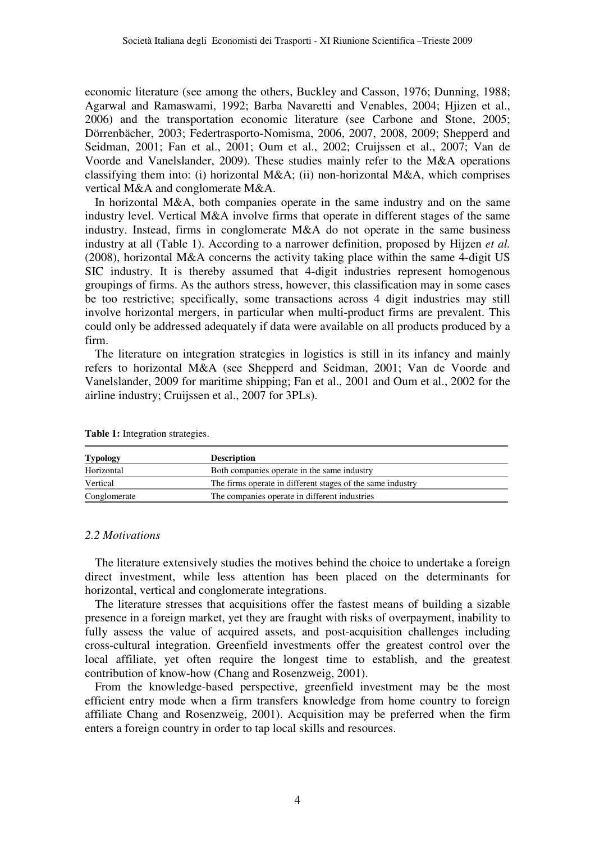economic literature (see among the others, Buckley and Casson, 1976; Dunning, 1988; Agarwal and Ramaswami, 1992; Barba Navaretti and Venables, 2004; Hjizen et al., 2006) and the transportation economic literature (see Carbone and Stone, 2005; Dörrenbächer, 2003; Federtrasporto-Nomisma, 2006, 2007, 2008, 2009; Shepperd and Seidman, 2001; Fan et al., 2001; Oum et al., 2002; Cruijssen et al., 2007; Van de Voorde and Vanelslander, 2009). These studies mainly refer to the M&A operations classifying them into: (i) horizontal M&A; (ii) non-horizontal M&A, which comprises vertical M&A and conglomerate M&A.

In horizontal M&A, both companies operate in the same industry and on the same industry level. Vertical M&A involve firms that operate in different stages of the same industry. Instead, firms in conglomerate M&A do not operate in the same business industry at all (Table 1). According to a narrower definition, proposed by Hijzen *et al.* (2008), horizontal M&A concerns the activity taking place within the same 4-digit US SIC industry. It is thereby assumed that 4-digit industries represent homogenous groupings of firms. As the authors stress, however, this classification may in some cases be too restrictive; specifically, some transactions across 4 digit industries may still involve horizontal mergers, in particular when multi-product firms are prevalent. This could only be addressed adequately if data were available on all products produced by a firm.

The literature on integration strategies in logistics is still in its infancy and mainly refers to horizontal M&A (see Shepperd and Seidman, 2001; Van de Voorde and Vanelslander, 2009 for maritime shipping; Fan et al., 2001 and Oum et al., 2002 for the airline industry; Cruijssen et al., 2007 for 3PLs).

| <b>Typology</b> | <b>Description</b>                                         |
|-----------------|------------------------------------------------------------|
| Horizontal      | Both companies operate in the same industry                |
| Vertical        | The firms operate in different stages of the same industry |
| Conglomerate    | The companies operate in different industries              |

**Table 1:** Integration strategies.

### *2.2 Motivations*

The literature extensively studies the motives behind the choice to undertake a foreign direct investment, while less attention has been placed on the determinants for horizontal, vertical and conglomerate integrations.

The literature stresses that acquisitions offer the fastest means of building a sizable presence in a foreign market, yet they are fraught with risks of overpayment, inability to fully assess the value of acquired assets, and post-acquisition challenges including cross-cultural integration. Greenfield investments offer the greatest control over the local affiliate, yet often require the longest time to establish, and the greatest contribution of know-how (Chang and Rosenzweig, 2001).

From the knowledge-based perspective, greenfield investment may be the most efficient entry mode when a firm transfers knowledge from home country to foreign affiliate Chang and Rosenzweig, 2001). Acquisition may be preferred when the firm enters a foreign country in order to tap local skills and resources.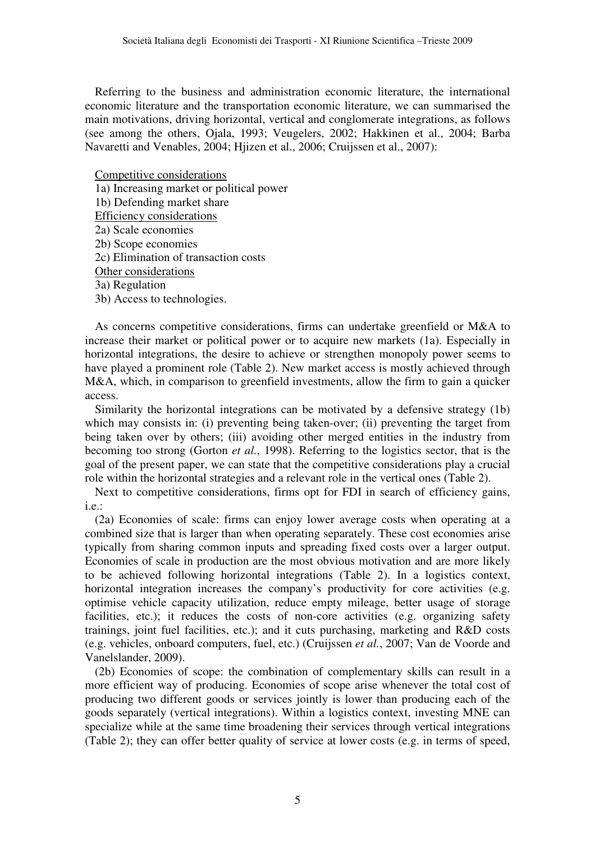Referring to the business and administration economic literature, the international economic literature and the transportation economic literature, we can summarised the main motivations, driving horizontal, vertical and conglomerate integrations, as follows (see among the others, Ojala, 1993; Veugelers, 2002; Hakkinen et al., 2004; Barba Navaretti and Venables, 2004; Hjizen et al., 2006; Cruijssen et al., 2007):

Competitive considerations

1a) Increasing market or political power

1b) Defending market share

Efficiency considerations

2a) Scale economies

2b) Scope economies

2c) Elimination of transaction costs

Other considerations

3a) Regulation

3b) Access to technologies.

As concerns competitive considerations, firms can undertake greenfield or M&A to increase their market or political power or to acquire new markets (1a). Especially in horizontal integrations, the desire to achieve or strengthen monopoly power seems to have played a prominent role (Table 2). New market access is mostly achieved through M&A, which, in comparison to greenfield investments, allow the firm to gain a quicker access.

Similarity the horizontal integrations can be motivated by a defensive strategy (1b) which may consists in: (i) preventing being taken-over; (ii) preventing the target from being taken over by others; (iii) avoiding other merged entities in the industry from becoming too strong (Gorton *et al.*, 1998). Referring to the logistics sector, that is the goal of the present paper, we can state that the competitive considerations play a crucial role within the horizontal strategies and a relevant role in the vertical ones (Table 2).

Next to competitive considerations, firms opt for FDI in search of efficiency gains, i.e.:

(2a) Economies of scale: firms can enjoy lower average costs when operating at a combined size that is larger than when operating separately. These cost economies arise typically from sharing common inputs and spreading fixed costs over a larger output. Economies of scale in production are the most obvious motivation and are more likely to be achieved following horizontal integrations (Table 2). In a logistics context, horizontal integration increases the company's productivity for core activities (e.g. optimise vehicle capacity utilization, reduce empty mileage, better usage of storage facilities, etc.); it reduces the costs of non-core activities (e.g. organizing safety trainings, joint fuel facilities, etc.); and it cuts purchasing, marketing and R&D costs (e.g. vehicles, onboard computers, fuel, etc.) (Cruijssen *et al.*, 2007; Van de Voorde and Vanelslander, 2009).

(2b) Economies of scope: the combination of complementary skills can result in a more efficient way of producing. Economies of scope arise whenever the total cost of producing two different goods or services jointly is lower than producing each of the goods separately (vertical integrations). Within a logistics context, investing MNE can specialize while at the same time broadening their services through vertical integrations (Table 2); they can offer better quality of service at lower costs (e.g. in terms of speed,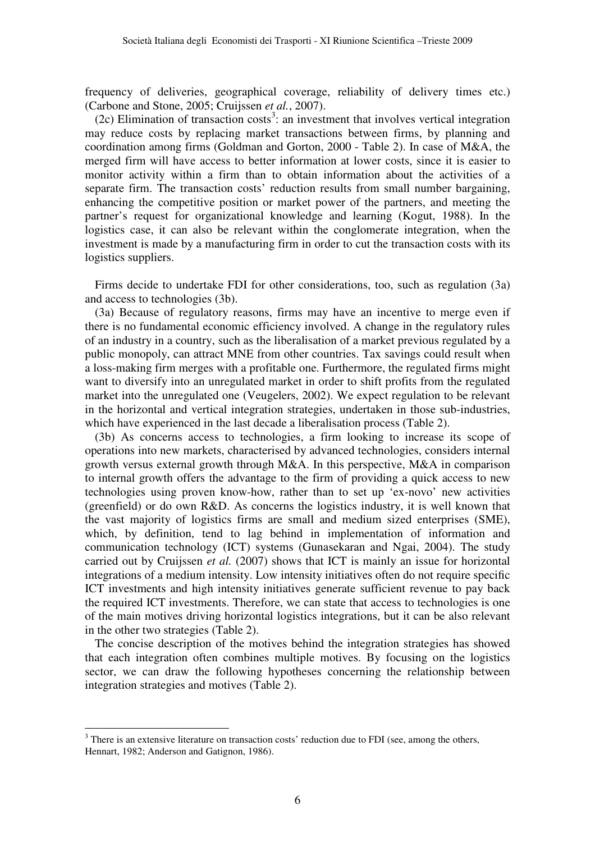frequency of deliveries, geographical coverage, reliability of delivery times etc.) (Carbone and Stone, 2005; Cruijssen *et al.*, 2007).

(2c) Elimination of transaction costs<sup>3</sup>: an investment that involves vertical integration may reduce costs by replacing market transactions between firms, by planning and coordination among firms (Goldman and Gorton, 2000 - Table 2). In case of M&A, the merged firm will have access to better information at lower costs, since it is easier to monitor activity within a firm than to obtain information about the activities of a separate firm. The transaction costs' reduction results from small number bargaining, enhancing the competitive position or market power of the partners, and meeting the partner's request for organizational knowledge and learning (Kogut, 1988). In the logistics case, it can also be relevant within the conglomerate integration, when the investment is made by a manufacturing firm in order to cut the transaction costs with its logistics suppliers.

Firms decide to undertake FDI for other considerations, too, such as regulation (3a) and access to technologies (3b).

(3a) Because of regulatory reasons, firms may have an incentive to merge even if there is no fundamental economic efficiency involved. A change in the regulatory rules of an industry in a country, such as the liberalisation of a market previous regulated by a public monopoly, can attract MNE from other countries. Tax savings could result when a loss-making firm merges with a profitable one. Furthermore, the regulated firms might want to diversify into an unregulated market in order to shift profits from the regulated market into the unregulated one (Veugelers, 2002). We expect regulation to be relevant in the horizontal and vertical integration strategies, undertaken in those sub-industries, which have experienced in the last decade a liberalisation process (Table 2).

(3b) As concerns access to technologies, a firm looking to increase its scope of operations into new markets, characterised by advanced technologies, considers internal growth versus external growth through M&A. In this perspective, M&A in comparison to internal growth offers the advantage to the firm of providing a quick access to new technologies using proven know-how, rather than to set up 'ex-novo' new activities (greenfield) or do own R&D. As concerns the logistics industry, it is well known that the vast majority of logistics firms are small and medium sized enterprises (SME), which, by definition, tend to lag behind in implementation of information and communication technology (ICT) systems (Gunasekaran and Ngai, 2004). The study carried out by Cruijssen *et al.* (2007) shows that ICT is mainly an issue for horizontal integrations of a medium intensity. Low intensity initiatives often do not require specific ICT investments and high intensity initiatives generate sufficient revenue to pay back the required ICT investments. Therefore, we can state that access to technologies is one of the main motives driving horizontal logistics integrations, but it can be also relevant in the other two strategies (Table 2).

The concise description of the motives behind the integration strategies has showed that each integration often combines multiple motives. By focusing on the logistics sector, we can draw the following hypotheses concerning the relationship between integration strategies and motives (Table 2).

 $\overline{a}$ 

 $3$  There is an extensive literature on transaction costs' reduction due to FDI (see, among the others, Hennart, 1982; Anderson and Gatignon, 1986).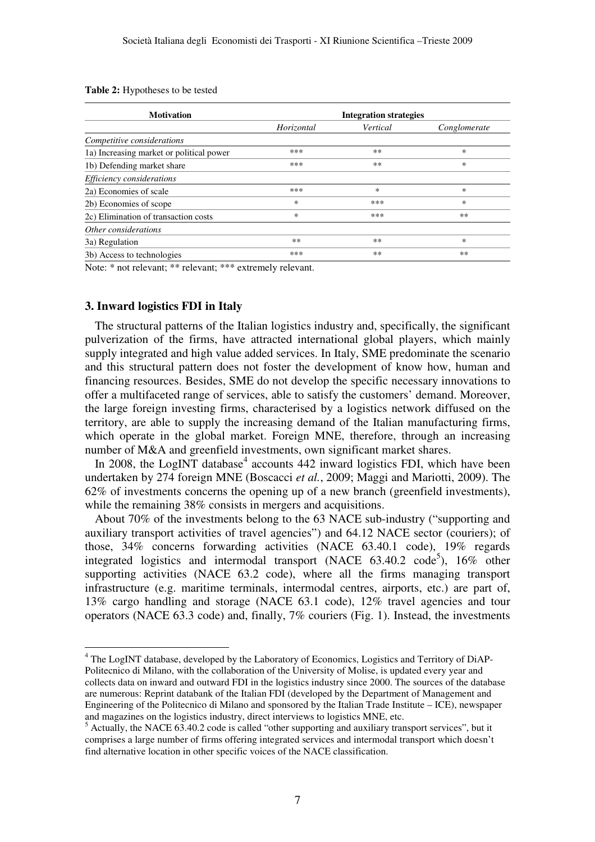| <b>Motivation</b>                        | <b>Integration strategies</b> |          |              |  |  |  |
|------------------------------------------|-------------------------------|----------|--------------|--|--|--|
|                                          | Horizontal                    | Vertical | Conglomerate |  |  |  |
| Competitive considerations               |                               |          |              |  |  |  |
| 1a) Increasing market or political power | ***                           | $**$     | *            |  |  |  |
| 1b) Defending market share               | ***                           | $**$     | $\ast$       |  |  |  |
| Efficiency considerations                |                               |          |              |  |  |  |
| 2a) Economies of scale                   | ***                           | $\ast$   | $\ast$       |  |  |  |
| 2b) Economies of scope                   | *                             | ***      | $\ast$       |  |  |  |
| 2c) Elimination of transaction costs     | *                             | ***      | $***$        |  |  |  |
| Other considerations                     |                               |          |              |  |  |  |
| 3a) Regulation                           | $***$                         | $**$     | $\ast$       |  |  |  |
| 3b) Access to technologies               | ***                           | $**$     | $***$        |  |  |  |

**Table 2:** Hypotheses to be tested

Note: \* not relevant; \*\* relevant; \*\*\* extremely relevant.

## **3. Inward logistics FDI in Italy**

The structural patterns of the Italian logistics industry and, specifically, the significant pulverization of the firms, have attracted international global players, which mainly supply integrated and high value added services. In Italy, SME predominate the scenario and this structural pattern does not foster the development of know how, human and financing resources. Besides, SME do not develop the specific necessary innovations to offer a multifaceted range of services, able to satisfy the customers' demand. Moreover, the large foreign investing firms, characterised by a logistics network diffused on the territory, are able to supply the increasing demand of the Italian manufacturing firms, which operate in the global market. Foreign MNE, therefore, through an increasing number of M&A and greenfield investments, own significant market shares.

In 2008, the LogINT database<sup>4</sup> accounts 442 inward logistics FDI, which have been undertaken by 274 foreign MNE (Boscacci *et al.*, 2009; Maggi and Mariotti, 2009). The 62% of investments concerns the opening up of a new branch (greenfield investments), while the remaining 38% consists in mergers and acquisitions.

About 70% of the investments belong to the 63 NACE sub-industry ("supporting and auxiliary transport activities of travel agencies") and 64.12 NACE sector (couriers); of those, 34% concerns forwarding activities (NACE 63.40.1 code), 19% regards integrated logistics and intermodal transport (NACE  $63.40.2 \text{ code}^5$ ),  $16\%$  other supporting activities (NACE 63.2 code), where all the firms managing transport infrastructure (e.g. maritime terminals, intermodal centres, airports, etc.) are part of, 13% cargo handling and storage (NACE 63.1 code), 12% travel agencies and tour operators (NACE 63.3 code) and, finally, 7% couriers (Fig. 1). Instead, the investments

 4 The LogINT database, developed by the Laboratory of Economics, Logistics and Territory of DiAP-Politecnico di Milano, with the collaboration of the University of Molise, is updated every year and collects data on inward and outward FDI in the logistics industry since 2000. The sources of the database are numerous: Reprint databank of the Italian FDI (developed by the Department of Management and Engineering of the Politecnico di Milano and sponsored by the Italian Trade Institute – ICE), newspaper and magazines on the logistics industry, direct interviews to logistics MNE, etc.

<sup>&</sup>lt;sup>5</sup> Actually, the NACE 63.40.2 code is called "other supporting and auxiliary transport services", but it comprises a large number of firms offering integrated services and intermodal transport which doesn't find alternative location in other specific voices of the NACE classification.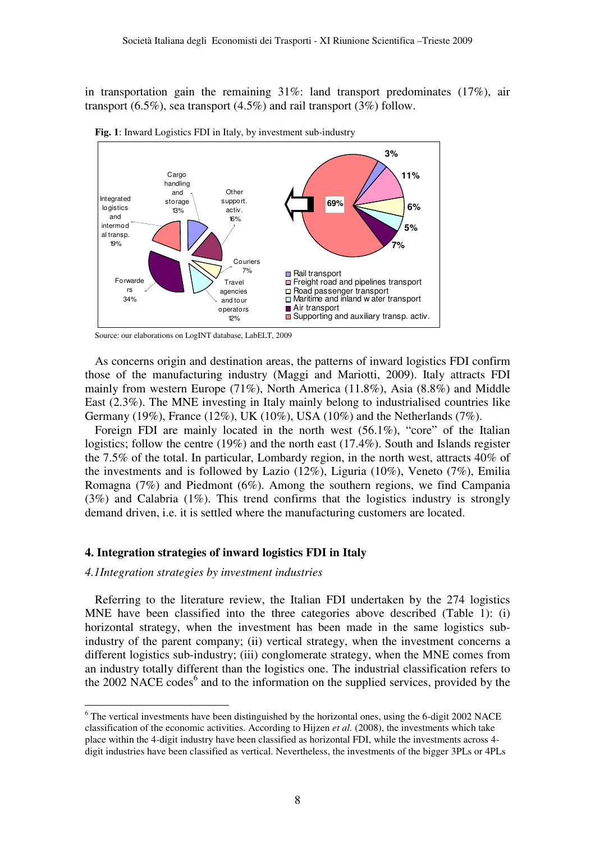in transportation gain the remaining 31%: land transport predominates (17%), air transport  $(6.5\%)$ , sea transport  $(4.5\%)$  and rail transport  $(3\%)$  follow.



**Fig. 1**: Inward Logistics FDI in Italy, by investment sub-industry

Source: our elaborations on LogINT database, LabELT, 2009

As concerns origin and destination areas, the patterns of inward logistics FDI confirm those of the manufacturing industry (Maggi and Mariotti, 2009). Italy attracts FDI mainly from western Europe (71%), North America (11.8%), Asia (8.8%) and Middle East (2.3%). The MNE investing in Italy mainly belong to industrialised countries like Germany (19%), France (12%), UK (10%), USA (10%) and the Netherlands (7%).

Foreign FDI are mainly located in the north west (56.1%), "core" of the Italian logistics; follow the centre (19%) and the north east (17.4%). South and Islands register the 7.5% of the total. In particular, Lombardy region, in the north west, attracts 40% of the investments and is followed by Lazio (12%), Liguria (10%), Veneto (7%), Emilia Romagna (7%) and Piedmont (6%). Among the southern regions, we find Campania (3%) and Calabria (1%). This trend confirms that the logistics industry is strongly demand driven, i.e. it is settled where the manufacturing customers are located.

## **4. Integration strategies of inward logistics FDI in Italy**

*4.1Integration strategies by investment industries* 

 $\overline{a}$ 

Referring to the literature review, the Italian FDI undertaken by the 274 logistics MNE have been classified into the three categories above described (Table 1): (i) horizontal strategy, when the investment has been made in the same logistics subindustry of the parent company; (ii) vertical strategy, when the investment concerns a different logistics sub-industry; (iii) conglomerate strategy, when the MNE comes from an industry totally different than the logistics one. The industrial classification refers to the 2002 NACE codes<sup>6</sup> and to the information on the supplied services, provided by the

<sup>&</sup>lt;sup>6</sup> The vertical investments have been distinguished by the horizontal ones, using the 6-digit 2002 NACE classification of the economic activities. According to Hijzen *et al.* (2008), the investments which take place within the 4-digit industry have been classified as horizontal FDI, while the investments across 4 digit industries have been classified as vertical. Nevertheless, the investments of the bigger 3PLs or 4PLs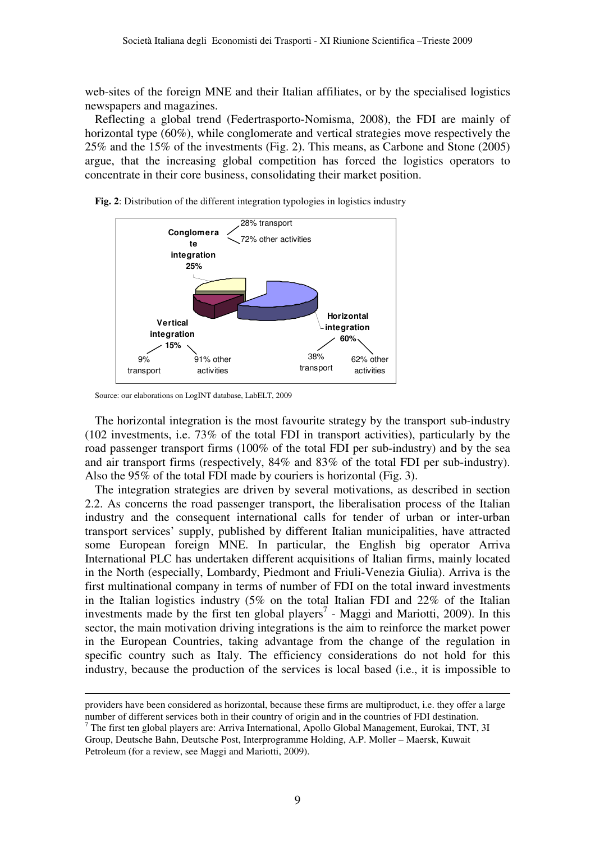web-sites of the foreign MNE and their Italian affiliates, or by the specialised logistics newspapers and magazines.

Reflecting a global trend (Federtrasporto-Nomisma, 2008), the FDI are mainly of horizontal type (60%), while conglomerate and vertical strategies move respectively the 25% and the 15% of the investments (Fig. 2). This means, as Carbone and Stone (2005) argue, that the increasing global competition has forced the logistics operators to concentrate in their core business, consolidating their market position.



**Fig. 2**: Distribution of the different integration typologies in logistics industry

 $\overline{a}$ 

The horizontal integration is the most favourite strategy by the transport sub-industry (102 investments, i.e. 73% of the total FDI in transport activities), particularly by the road passenger transport firms (100% of the total FDI per sub-industry) and by the sea and air transport firms (respectively, 84% and 83% of the total FDI per sub-industry). Also the 95% of the total FDI made by couriers is horizontal (Fig. 3).

The integration strategies are driven by several motivations, as described in section 2.2. As concerns the road passenger transport, the liberalisation process of the Italian industry and the consequent international calls for tender of urban or inter-urban transport services' supply, published by different Italian municipalities, have attracted some European foreign MNE. In particular, the English big operator Arriva International PLC has undertaken different acquisitions of Italian firms, mainly located in the North (especially, Lombardy, Piedmont and Friuli-Venezia Giulia). Arriva is the first multinational company in terms of number of FDI on the total inward investments in the Italian logistics industry (5% on the total Italian FDI and 22% of the Italian investments made by the first ten global players<sup>7</sup> - Maggi and Mariotti, 2009). In this sector, the main motivation driving integrations is the aim to reinforce the market power in the European Countries, taking advantage from the change of the regulation in specific country such as Italy. The efficiency considerations do not hold for this industry, because the production of the services is local based (i.e., it is impossible to

Source: our elaborations on LogINT database, LabELT, 2009

providers have been considered as horizontal, because these firms are multiproduct, i.e. they offer a large number of different services both in their country of origin and in the countries of FDI destination.

<sup>&</sup>lt;sup>7</sup> The first ten global players are: Arriva International, Apollo Global Management, Eurokai, TNT, 3I Group, Deutsche Bahn, Deutsche Post, Interprogramme Holding, A.P. Moller – Maersk, Kuwait Petroleum (for a review, see Maggi and Mariotti, 2009).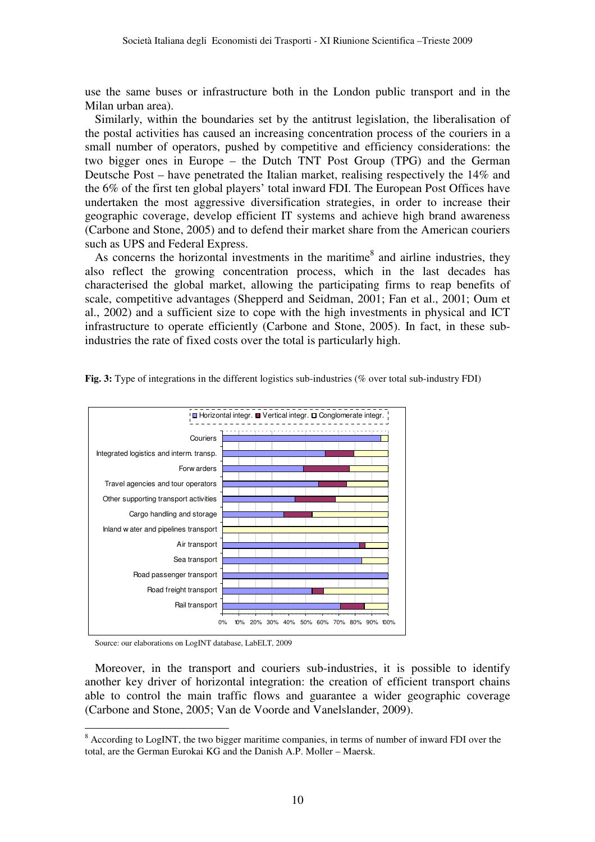use the same buses or infrastructure both in the London public transport and in the Milan urban area).

Similarly, within the boundaries set by the antitrust legislation, the liberalisation of the postal activities has caused an increasing concentration process of the couriers in a small number of operators, pushed by competitive and efficiency considerations: the two bigger ones in Europe – the Dutch TNT Post Group (TPG) and the German Deutsche Post – have penetrated the Italian market, realising respectively the 14% and the 6% of the first ten global players' total inward FDI. The European Post Offices have undertaken the most aggressive diversification strategies, in order to increase their geographic coverage, develop efficient IT systems and achieve high brand awareness (Carbone and Stone, 2005) and to defend their market share from the American couriers such as UPS and Federal Express.

As concerns the horizontal investments in the maritime $^8$  and airline industries, they also reflect the growing concentration process, which in the last decades has characterised the global market, allowing the participating firms to reap benefits of scale, competitive advantages (Shepperd and Seidman, 2001; Fan et al., 2001; Oum et al., 2002) and a sufficient size to cope with the high investments in physical and ICT infrastructure to operate efficiently (Carbone and Stone, 2005). In fact, in these subindustries the rate of fixed costs over the total is particularly high.



**Fig. 3:** Type of integrations in the different logistics sub-industries (% over total sub-industry FDI)

Source: our elaborations on LogINT database, LabELT, 2009

 $\overline{a}$ 

Moreover, in the transport and couriers sub-industries, it is possible to identify another key driver of horizontal integration: the creation of efficient transport chains able to control the main traffic flows and guarantee a wider geographic coverage (Carbone and Stone, 2005; Van de Voorde and Vanelslander, 2009).

<sup>&</sup>lt;sup>8</sup> According to LogINT, the two bigger maritime companies, in terms of number of inward FDI over the total, are the German Eurokai KG and the Danish A.P. Moller – Maersk.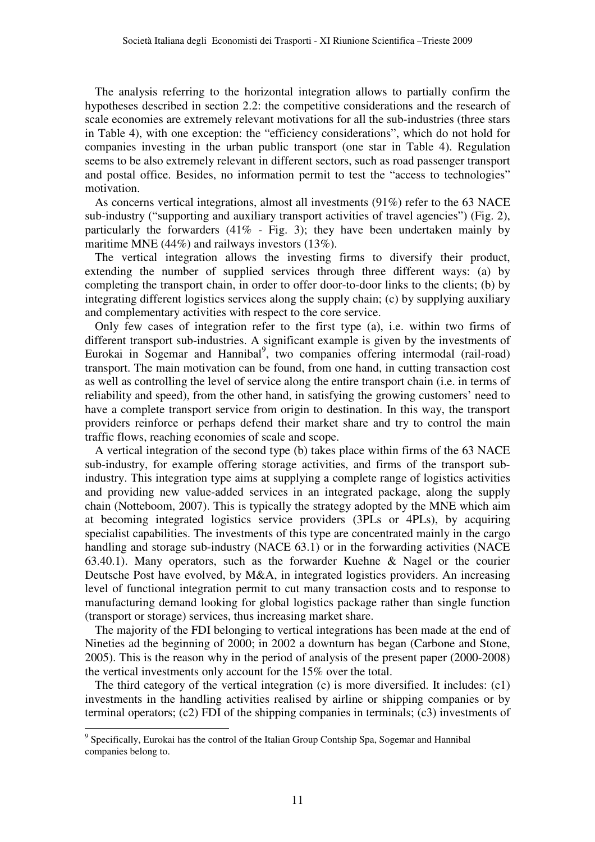The analysis referring to the horizontal integration allows to partially confirm the hypotheses described in section 2.2: the competitive considerations and the research of scale economies are extremely relevant motivations for all the sub-industries (three stars in Table 4), with one exception: the "efficiency considerations", which do not hold for companies investing in the urban public transport (one star in Table 4). Regulation seems to be also extremely relevant in different sectors, such as road passenger transport and postal office. Besides, no information permit to test the "access to technologies" motivation.

As concerns vertical integrations, almost all investments (91%) refer to the 63 NACE sub-industry ("supporting and auxiliary transport activities of travel agencies") (Fig. 2), particularly the forwarders  $(41\% - Fig. 3)$ ; they have been undertaken mainly by maritime MNE (44%) and railways investors (13%).

The vertical integration allows the investing firms to diversify their product, extending the number of supplied services through three different ways: (a) by completing the transport chain, in order to offer door-to-door links to the clients; (b) by integrating different logistics services along the supply chain; (c) by supplying auxiliary and complementary activities with respect to the core service.

Only few cases of integration refer to the first type (a), i.e. within two firms of different transport sub-industries. A significant example is given by the investments of Eurokai in Sogemar and Hannibal<sup>9</sup>, two companies offering intermodal (rail-road) transport. The main motivation can be found, from one hand, in cutting transaction cost as well as controlling the level of service along the entire transport chain (i.e. in terms of reliability and speed), from the other hand, in satisfying the growing customers' need to have a complete transport service from origin to destination. In this way, the transport providers reinforce or perhaps defend their market share and try to control the main traffic flows, reaching economies of scale and scope.

A vertical integration of the second type (b) takes place within firms of the 63 NACE sub-industry, for example offering storage activities, and firms of the transport subindustry. This integration type aims at supplying a complete range of logistics activities and providing new value-added services in an integrated package, along the supply chain (Notteboom, 2007). This is typically the strategy adopted by the MNE which aim at becoming integrated logistics service providers (3PLs or 4PLs), by acquiring specialist capabilities. The investments of this type are concentrated mainly in the cargo handling and storage sub-industry (NACE 63.1) or in the forwarding activities (NACE 63.40.1). Many operators, such as the forwarder Kuehne & Nagel or the courier Deutsche Post have evolved, by M&A, in integrated logistics providers. An increasing level of functional integration permit to cut many transaction costs and to response to manufacturing demand looking for global logistics package rather than single function (transport or storage) services, thus increasing market share.

The majority of the FDI belonging to vertical integrations has been made at the end of Nineties ad the beginning of 2000; in 2002 a downturn has began (Carbone and Stone, 2005). This is the reason why in the period of analysis of the present paper (2000-2008) the vertical investments only account for the 15% over the total.

The third category of the vertical integration (c) is more diversified. It includes: (c1) investments in the handling activities realised by airline or shipping companies or by terminal operators; (c2) FDI of the shipping companies in terminals; (c3) investments of

 $\overline{a}$ 

<sup>&</sup>lt;sup>9</sup> Specifically, Eurokai has the control of the Italian Group Contship Spa, Sogemar and Hannibal companies belong to.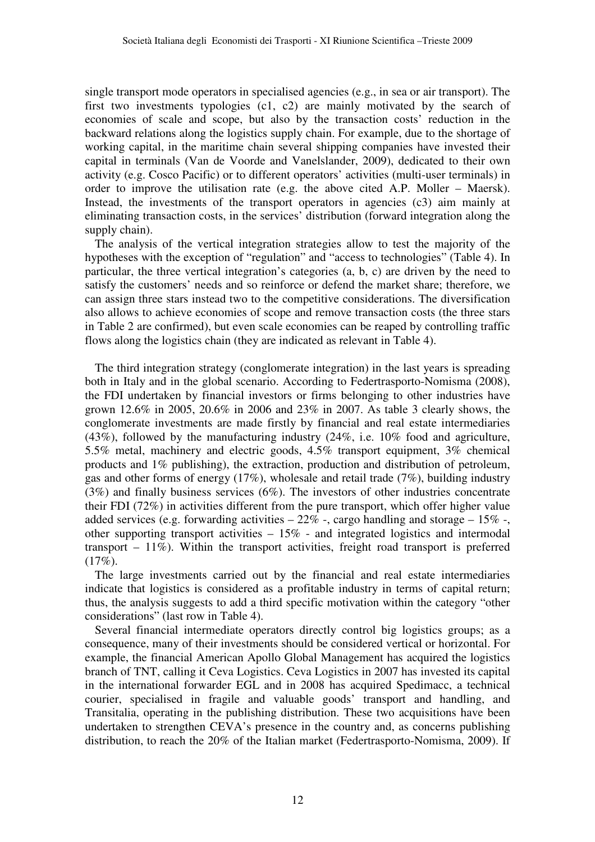single transport mode operators in specialised agencies (e.g., in sea or air transport). The first two investments typologies (c1, c2) are mainly motivated by the search of economies of scale and scope, but also by the transaction costs' reduction in the backward relations along the logistics supply chain. For example, due to the shortage of working capital, in the maritime chain several shipping companies have invested their capital in terminals (Van de Voorde and Vanelslander, 2009), dedicated to their own activity (e.g. Cosco Pacific) or to different operators' activities (multi-user terminals) in order to improve the utilisation rate (e.g. the above cited A.P. Moller – Maersk). Instead, the investments of the transport operators in agencies  $(c3)$  aim mainly at eliminating transaction costs, in the services' distribution (forward integration along the supply chain).

The analysis of the vertical integration strategies allow to test the majority of the hypotheses with the exception of "regulation" and "access to technologies" (Table 4). In particular, the three vertical integration's categories (a, b, c) are driven by the need to satisfy the customers' needs and so reinforce or defend the market share; therefore, we can assign three stars instead two to the competitive considerations. The diversification also allows to achieve economies of scope and remove transaction costs (the three stars in Table 2 are confirmed), but even scale economies can be reaped by controlling traffic flows along the logistics chain (they are indicated as relevant in Table 4).

The third integration strategy (conglomerate integration) in the last years is spreading both in Italy and in the global scenario. According to Federtrasporto-Nomisma (2008), the FDI undertaken by financial investors or firms belonging to other industries have grown 12.6% in 2005, 20.6% in 2006 and 23% in 2007. As table 3 clearly shows, the conglomerate investments are made firstly by financial and real estate intermediaries (43%), followed by the manufacturing industry (24%, i.e. 10% food and agriculture, 5.5% metal, machinery and electric goods, 4.5% transport equipment, 3% chemical products and 1% publishing), the extraction, production and distribution of petroleum, gas and other forms of energy (17%), wholesale and retail trade (7%), building industry (3%) and finally business services (6%). The investors of other industries concentrate their FDI (72%) in activities different from the pure transport, which offer higher value added services (e.g. forwarding activities  $-22\%$  -, cargo handling and storage  $-15\%$  -, other supporting transport activities  $-15\%$  - and integrated logistics and intermodal transport – 11%). Within the transport activities, freight road transport is preferred (17%).

The large investments carried out by the financial and real estate intermediaries indicate that logistics is considered as a profitable industry in terms of capital return; thus, the analysis suggests to add a third specific motivation within the category "other considerations" (last row in Table 4).

Several financial intermediate operators directly control big logistics groups; as a consequence, many of their investments should be considered vertical or horizontal. For example, the financial American Apollo Global Management has acquired the logistics branch of TNT, calling it Ceva Logistics. Ceva Logistics in 2007 has invested its capital in the international forwarder EGL and in 2008 has acquired Spedimacc, a technical courier, specialised in fragile and valuable goods' transport and handling, and Transitalia, operating in the publishing distribution. These two acquisitions have been undertaken to strengthen CEVA's presence in the country and, as concerns publishing distribution, to reach the 20% of the Italian market (Federtrasporto-Nomisma, 2009). If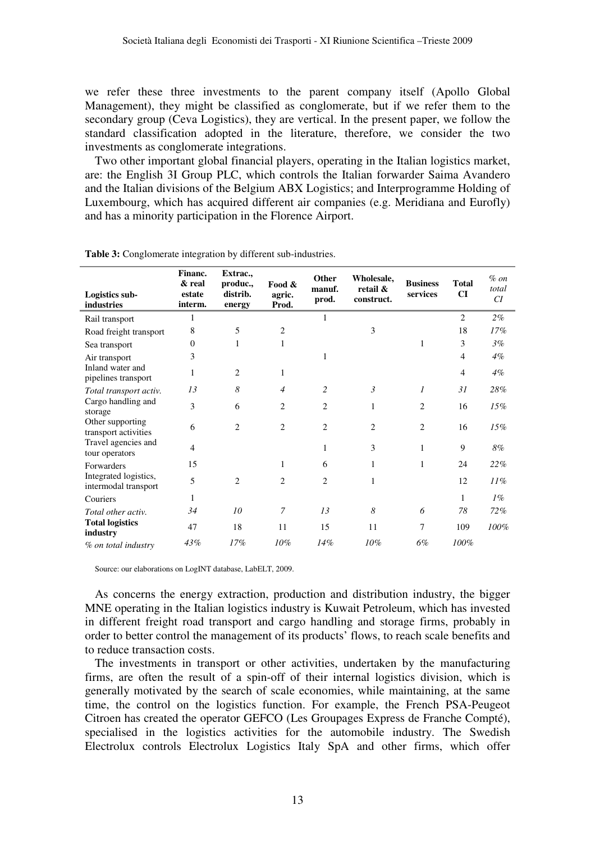we refer these three investments to the parent company itself (Apollo Global Management), they might be classified as conglomerate, but if we refer them to the secondary group (Ceva Logistics), they are vertical. In the present paper, we follow the standard classification adopted in the literature, therefore, we consider the two investments as conglomerate integrations.

Two other important global financial players, operating in the Italian logistics market, are: the English 3I Group PLC, which controls the Italian forwarder Saima Avandero and the Italian divisions of the Belgium ABX Logistics; and Interprogramme Holding of Luxembourg, which has acquired different air companies (e.g. Meridiana and Eurofly) and has a minority participation in the Florence Airport.

| Logistics sub-<br>industries                  | Financ.<br>& real<br>estate<br>interm. | Extrac.,<br>produc.,<br>distrib.<br>energy | Food &<br>agric.<br>Prod. | Other<br>manuf.<br>prod. | Wholesale,<br>retail &<br>construct. | <b>Business</b><br>services | <b>Total</b><br><b>CI</b> | $\%$ on<br>total<br>CI |
|-----------------------------------------------|----------------------------------------|--------------------------------------------|---------------------------|--------------------------|--------------------------------------|-----------------------------|---------------------------|------------------------|
| Rail transport                                | 1                                      |                                            |                           | 1                        |                                      |                             | $\overline{2}$            | 2%                     |
| Road freight transport                        | 8                                      | 5                                          | 2                         |                          | 3                                    |                             | 18                        | 17%                    |
| Sea transport                                 | 0                                      | 1                                          | 1                         |                          |                                      | 1                           | 3                         | 3%                     |
| Air transport                                 | 3                                      |                                            |                           | 1                        |                                      |                             | 4                         | $4\%$                  |
| Inland water and<br>pipelines transport       | 1                                      | $\overline{c}$                             | 1                         |                          |                                      |                             | $\overline{4}$            | $4\%$                  |
| Total transport activ.                        | 13                                     | 8                                          | 4                         | 2                        | $\mathfrak{Z}$                       | $\overline{I}$              | 31                        | 28%                    |
| Cargo handling and<br>storage                 | 3                                      | 6                                          | $\overline{2}$            | $\overline{c}$           | 1                                    | $\overline{c}$              | 16                        | 15%                    |
| Other supporting<br>transport activities      | 6                                      | $\overline{2}$                             | $\overline{c}$            | $\overline{c}$           | $\overline{2}$                       | $\overline{2}$              | 16                        | 15%                    |
| Travel agencies and<br>tour operators         | 4                                      |                                            |                           | 1                        | 3                                    | 1                           | 9                         | 8%                     |
| Forwarders                                    | 15                                     |                                            | 1                         | 6                        | 1                                    | 1                           | 24                        | 22%                    |
| Integrated logistics,<br>intermodal transport | 5                                      | $\overline{c}$                             | 2                         | $\overline{c}$           | 1                                    |                             | 12                        | 11%                    |
| Couriers                                      | 1                                      |                                            |                           |                          |                                      |                             | 1                         | $1\%$                  |
| Total other activ.                            | 34                                     | 10                                         | 7                         | 13                       | 8                                    | 6                           | 78                        | 72%                    |
| <b>Total logistics</b><br>industry            | 47                                     | 18                                         | 11                        | 15                       | 11                                   | 7                           | 109                       | 100%                   |
| % on total industry                           | 43%                                    | 17%                                        | 10%                       | 14%                      | 10%                                  | 6%                          | 100%                      |                        |

**Table 3:** Conglomerate integration by different sub-industries.

Source: our elaborations on LogINT database, LabELT, 2009.

As concerns the energy extraction, production and distribution industry, the bigger MNE operating in the Italian logistics industry is Kuwait Petroleum, which has invested in different freight road transport and cargo handling and storage firms, probably in order to better control the management of its products' flows, to reach scale benefits and to reduce transaction costs.

The investments in transport or other activities, undertaken by the manufacturing firms, are often the result of a spin-off of their internal logistics division, which is generally motivated by the search of scale economies, while maintaining, at the same time, the control on the logistics function. For example, the French PSA-Peugeot Citroen has created the operator GEFCO (Les Groupages Express de Franche Compté), specialised in the logistics activities for the automobile industry. The Swedish Electrolux controls Electrolux Logistics Italy SpA and other firms, which offer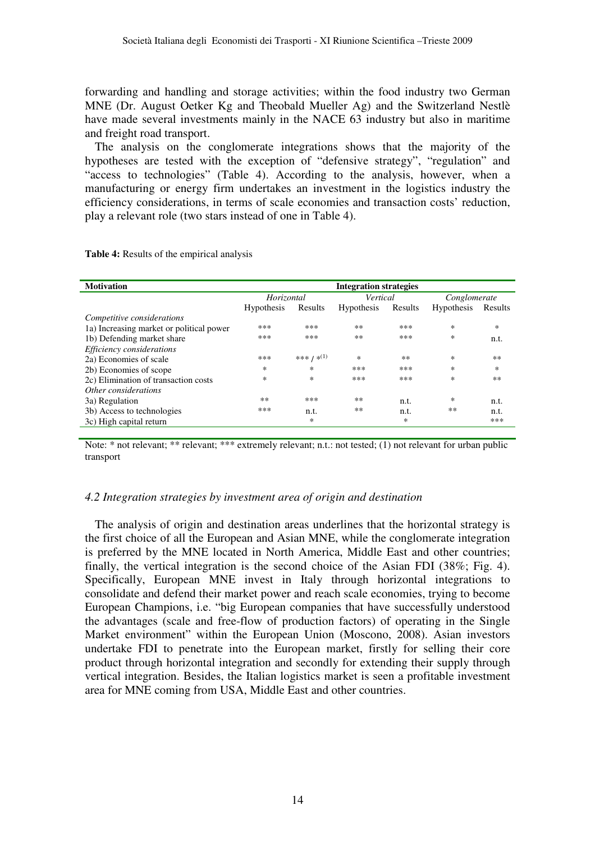forwarding and handling and storage activities; within the food industry two German MNE (Dr. August Oetker Kg and Theobald Mueller Ag) and the Switzerland Nestlè have made several investments mainly in the NACE 63 industry but also in maritime and freight road transport.

The analysis on the conglomerate integrations shows that the majority of the hypotheses are tested with the exception of "defensive strategy", "regulation" and "access to technologies" (Table 4). According to the analysis, however, when a manufacturing or energy firm undertakes an investment in the logistics industry the efficiency considerations, in terms of scale economies and transaction costs' reduction, play a relevant role (two stars instead of one in Table 4).

| <b>Motivation</b>                        | <b>Integration strategies</b> |                        |                   |         |                   |         |  |
|------------------------------------------|-------------------------------|------------------------|-------------------|---------|-------------------|---------|--|
|                                          | Horizontal                    |                        | Vertical          |         | Conglomerate      |         |  |
|                                          | <b>Hypothesis</b>             | Results                | <b>Hypothesis</b> | Results | <b>Hypothesis</b> | Results |  |
| Competitive considerations               |                               |                        |                   |         |                   |         |  |
| 1a) Increasing market or political power | ***                           | ***                    | $***$             | ***     | *                 | *       |  |
| 1b) Defending market share               | ***                           | ***                    | $***$             | ***     | *                 | n.t.    |  |
| Efficiency considerations                |                               |                        |                   |         |                   |         |  |
| 2a) Economies of scale                   | ***                           | *** / * <sup>(1)</sup> | $\ast$            | $***$   | *                 | $***$   |  |
| 2b) Economies of scope                   | $\ast$                        | $\ast$                 | ***               | ***     | *                 | *       |  |
| 2c) Elimination of transaction costs     | $\ast$                        | $\ast$                 | ***               | ***     | *                 | **      |  |
| Other considerations                     |                               |                        |                   |         |                   |         |  |
| 3a) Regulation                           | $**$                          | ***                    | $***$             | n.t.    | *                 | n.t.    |  |
| 3b) Access to technologies               | ***                           | n.t.                   | $***$             | n.t.    | **                | n.t.    |  |
| 3c) High capital return                  |                               | ∗                      |                   | $\ast$  |                   | ***     |  |
|                                          |                               |                        |                   |         |                   |         |  |

**Table 4:** Results of the empirical analysis

Note: \* not relevant; \*\* relevant; \*\*\* extremely relevant; n.t.: not tested; (1) not relevant for urban public transport

## *4.2 Integration strategies by investment area of origin and destination*

The analysis of origin and destination areas underlines that the horizontal strategy is the first choice of all the European and Asian MNE, while the conglomerate integration is preferred by the MNE located in North America, Middle East and other countries; finally, the vertical integration is the second choice of the Asian FDI (38%; Fig. 4). Specifically, European MNE invest in Italy through horizontal integrations to consolidate and defend their market power and reach scale economies, trying to become European Champions, i.e. "big European companies that have successfully understood the advantages (scale and free-flow of production factors) of operating in the Single Market environment" within the European Union (Moscono, 2008). Asian investors undertake FDI to penetrate into the European market, firstly for selling their core product through horizontal integration and secondly for extending their supply through vertical integration. Besides, the Italian logistics market is seen a profitable investment area for MNE coming from USA, Middle East and other countries.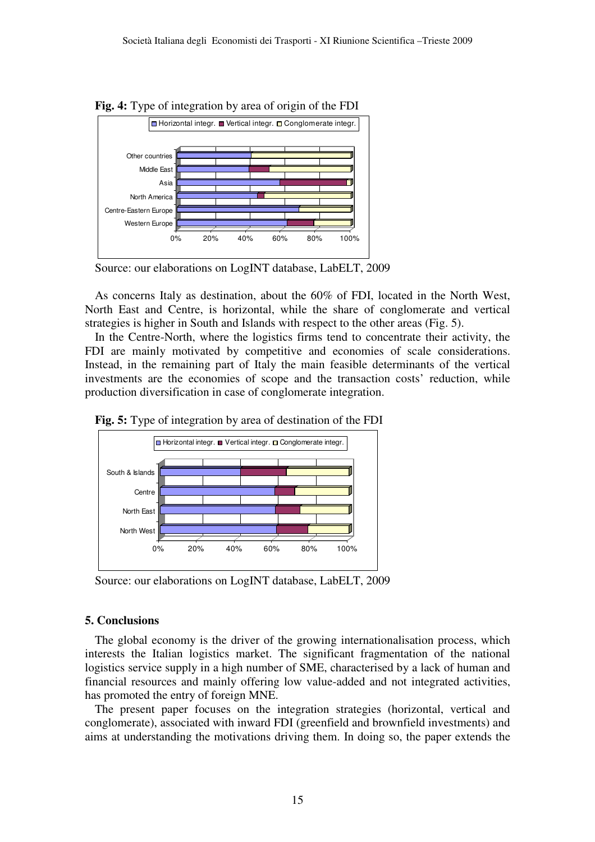

**Fig. 4:** Type of integration by area of origin of the FDI

Source: our elaborations on LogINT database, LabELT, 2009

As concerns Italy as destination, about the 60% of FDI, located in the North West, North East and Centre, is horizontal, while the share of conglomerate and vertical strategies is higher in South and Islands with respect to the other areas (Fig. 5).

In the Centre-North, where the logistics firms tend to concentrate their activity, the FDI are mainly motivated by competitive and economies of scale considerations. Instead, in the remaining part of Italy the main feasible determinants of the vertical investments are the economies of scope and the transaction costs' reduction, while production diversification in case of conglomerate integration.





Source: our elaborations on LogINT database, LabELT, 2009

# **5. Conclusions**

The global economy is the driver of the growing internationalisation process, which interests the Italian logistics market. The significant fragmentation of the national logistics service supply in a high number of SME, characterised by a lack of human and financial resources and mainly offering low value-added and not integrated activities, has promoted the entry of foreign MNE.

The present paper focuses on the integration strategies (horizontal, vertical and conglomerate), associated with inward FDI (greenfield and brownfield investments) and aims at understanding the motivations driving them. In doing so, the paper extends the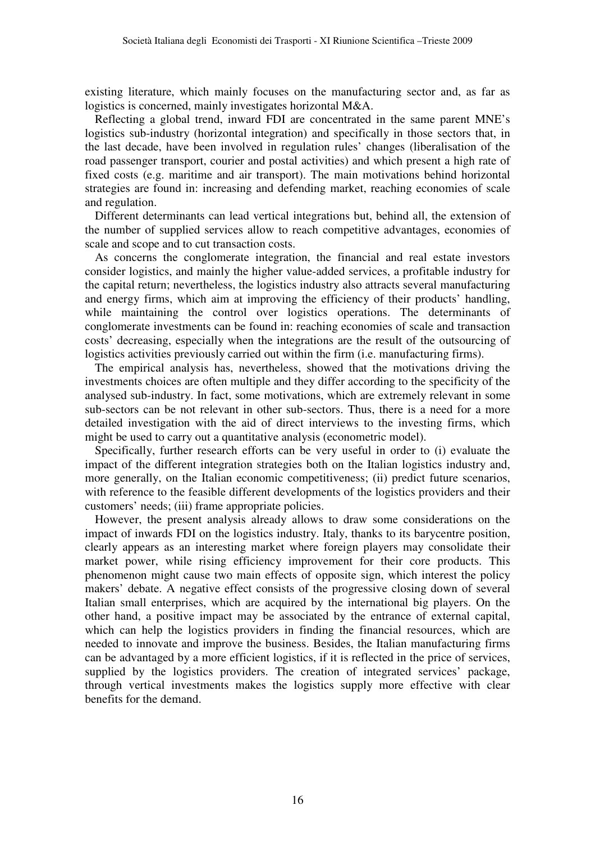existing literature, which mainly focuses on the manufacturing sector and, as far as logistics is concerned, mainly investigates horizontal M&A.

Reflecting a global trend, inward FDI are concentrated in the same parent MNE's logistics sub-industry (horizontal integration) and specifically in those sectors that, in the last decade, have been involved in regulation rules' changes (liberalisation of the road passenger transport, courier and postal activities) and which present a high rate of fixed costs (e.g. maritime and air transport). The main motivations behind horizontal strategies are found in: increasing and defending market, reaching economies of scale and regulation.

Different determinants can lead vertical integrations but, behind all, the extension of the number of supplied services allow to reach competitive advantages, economies of scale and scope and to cut transaction costs.

As concerns the conglomerate integration, the financial and real estate investors consider logistics, and mainly the higher value-added services, a profitable industry for the capital return; nevertheless, the logistics industry also attracts several manufacturing and energy firms, which aim at improving the efficiency of their products' handling, while maintaining the control over logistics operations. The determinants of conglomerate investments can be found in: reaching economies of scale and transaction costs' decreasing, especially when the integrations are the result of the outsourcing of logistics activities previously carried out within the firm (i.e. manufacturing firms).

The empirical analysis has, nevertheless, showed that the motivations driving the investments choices are often multiple and they differ according to the specificity of the analysed sub-industry. In fact, some motivations, which are extremely relevant in some sub-sectors can be not relevant in other sub-sectors. Thus, there is a need for a more detailed investigation with the aid of direct interviews to the investing firms, which might be used to carry out a quantitative analysis (econometric model).

Specifically, further research efforts can be very useful in order to (i) evaluate the impact of the different integration strategies both on the Italian logistics industry and, more generally, on the Italian economic competitiveness; (ii) predict future scenarios, with reference to the feasible different developments of the logistics providers and their customers' needs; (iii) frame appropriate policies.

However, the present analysis already allows to draw some considerations on the impact of inwards FDI on the logistics industry. Italy, thanks to its barycentre position, clearly appears as an interesting market where foreign players may consolidate their market power, while rising efficiency improvement for their core products. This phenomenon might cause two main effects of opposite sign, which interest the policy makers' debate. A negative effect consists of the progressive closing down of several Italian small enterprises, which are acquired by the international big players. On the other hand, a positive impact may be associated by the entrance of external capital, which can help the logistics providers in finding the financial resources, which are needed to innovate and improve the business. Besides, the Italian manufacturing firms can be advantaged by a more efficient logistics, if it is reflected in the price of services, supplied by the logistics providers. The creation of integrated services' package, through vertical investments makes the logistics supply more effective with clear benefits for the demand.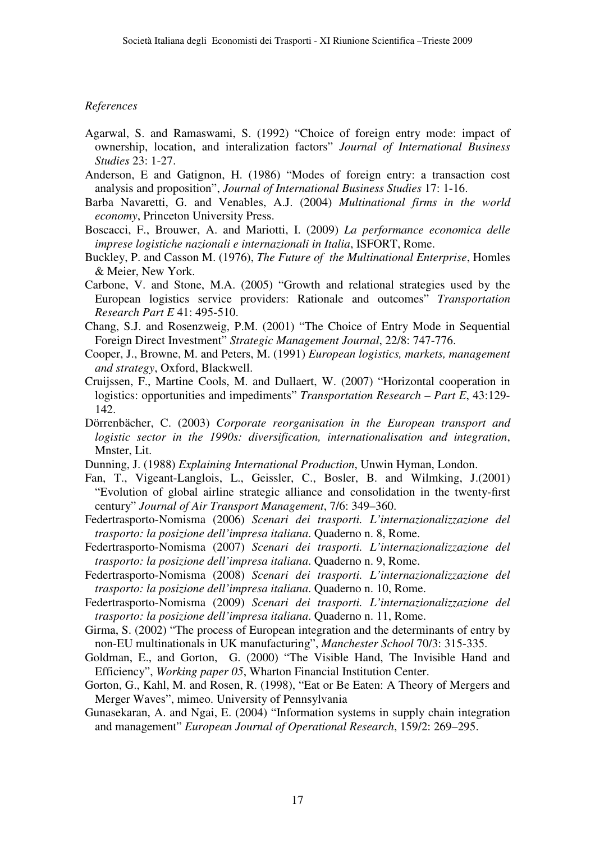## *References*

- Agarwal, S. and Ramaswami, S. (1992) "Choice of foreign entry mode: impact of ownership, location, and interalization factors" *Journal of International Business Studies* 23: 1-27.
- Anderson, E and Gatignon, H. (1986) "Modes of foreign entry: a transaction cost analysis and proposition", *Journal of International Business Studies* 17: 1-16.
- Barba Navaretti, G. and Venables, A.J. (2004) *Multinational firms in the world economy*, Princeton University Press.
- Boscacci, F., Brouwer, A. and Mariotti, I. (2009) *La performance economica delle imprese logistiche nazionali e internazionali in Italia*, ISFORT, Rome.
- Buckley, P. and Casson M. (1976), *The Future of the Multinational Enterprise*, Homles & Meier, New York.
- Carbone, V. and Stone, M.A. (2005) "Growth and relational strategies used by the European logistics service providers: Rationale and outcomes" *Transportation Research Part E* 41: 495-510.
- Chang, S.J. and Rosenzweig, P.M. (2001) "The Choice of Entry Mode in Sequential Foreign Direct Investment" *Strategic Management Journal*, 22/8: 747-776.
- Cooper, J., Browne, M. and Peters, M. (1991) *European logistics, markets, management and strategy*, Oxford, Blackwell.
- Cruijssen, F., Martine Cools, M. and Dullaert, W. (2007) "Horizontal cooperation in logistics: opportunities and impediments" *Transportation Research – Part E*, 43:129- 142.
- Dörrenbächer, C. (2003) *Corporate reorganisation in the European transport and logistic sector in the 1990s: diversification, internationalisation and integration*, Mnster, Lit.
- Dunning, J. (1988) *Explaining International Production*, Unwin Hyman, London.
- Fan, T., Vigeant-Langlois, L., Geissler, C., Bosler, B. and Wilmking, J.(2001) "Evolution of global airline strategic alliance and consolidation in the twenty-first century" *Journal of Air Transport Management*, 7/6: 349–360.
- Federtrasporto-Nomisma (2006) *Scenari dei trasporti. L'internazionalizzazione del trasporto: la posizione dell'impresa italiana*. Quaderno n. 8, Rome.
- Federtrasporto-Nomisma (2007) *Scenari dei trasporti. L'internazionalizzazione del trasporto: la posizione dell'impresa italiana*. Quaderno n. 9, Rome.
- Federtrasporto-Nomisma (2008) *Scenari dei trasporti. L'internazionalizzazione del trasporto: la posizione dell'impresa italiana*. Quaderno n. 10, Rome.
- Federtrasporto-Nomisma (2009) *Scenari dei trasporti. L'internazionalizzazione del trasporto: la posizione dell'impresa italiana*. Quaderno n. 11, Rome.
- Girma, S. (2002) "The process of European integration and the determinants of entry by non-EU multinationals in UK manufacturing", *Manchester School* 70/3: 315-335.
- Goldman, E., and Gorton, G. (2000) "The Visible Hand, The Invisible Hand and Efficiency", *Working paper 05*, Wharton Financial Institution Center.
- Gorton, G., Kahl, M. and Rosen, R. (1998), "Eat or Be Eaten: A Theory of Mergers and Merger Waves", mimeo. University of Pennsylvania
- Gunasekaran, A. and Ngai, E. (2004) "Information systems in supply chain integration and management" *European Journal of Operational Research*, 159/2: 269–295.